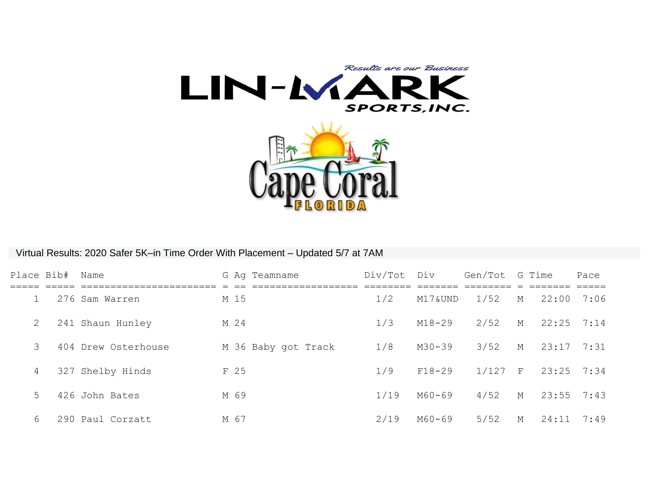

## Virtual Results: 2020 Safer 5K–in Time Order With Placement – Updated 5/7 at 7AM

| Place Bib#     | Name                | G Ag Teamname       | Div/Tot | Div        | Gen/Tot G Time |              |              | Pace |
|----------------|---------------------|---------------------|---------|------------|----------------|--------------|--------------|------|
|                | 276 Sam Warren      | M 15                | 1/2     | M17&UND    | 1/52           | М            | 22:00        | 7:06 |
| 2              | 241 Shaun Hunley    | M 24                | 1/3     | M18-29     | 2/52           | М            | $22:25$ 7:14 |      |
| 3              | 404 Drew Osterhouse | M 36 Baby got Track | 1/8     | M30-39     | 3/52           | $\mathbf M$  | 23:17        | 7:31 |
| $\overline{4}$ | 327 Shelby Hinds    | F 25                | 1/9     | $F18 - 29$ | 1/127          | $\mathbf{F}$ | $23:25$ 7:34 |      |
| 5              | 426 John Bates      | M 69                | 1/19    | M60-69     | 4/52           | М            | 23:55        | 7:43 |
| 6              | 290 Paul Corzatt    | M 67                | 2/19    | M60-69     | 5/52           | М            | 24:11        | 7:49 |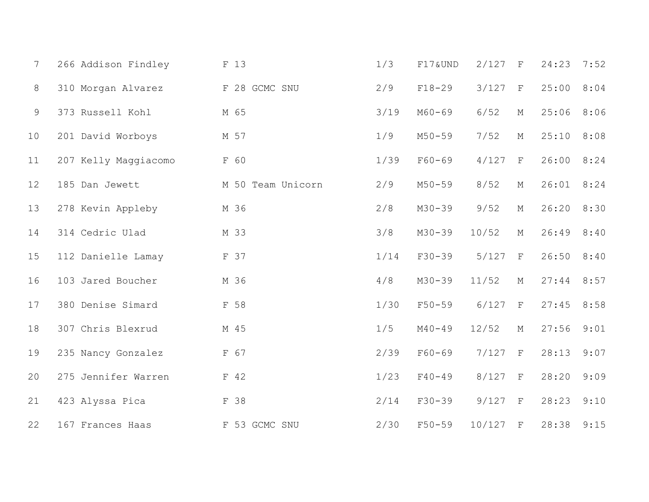| $7\overline{ }$ | 266 Addison Findley  | F 13              | 1/3    | F17&UND    | 2/127  | $\mathbf{F}$ | 24:23      | 7:52 |
|-----------------|----------------------|-------------------|--------|------------|--------|--------------|------------|------|
| 8               | 310 Morgan Alvarez   | F 28 GCMC SNU     | 2/9    | $F18 - 29$ | 3/127  | $\mathbf F$  | 25:00      | 8:04 |
| 9               | 373 Russell Kohl     | M 65              | $3/19$ | M60-69     | 6/52   | $\mathbf M$  | 25:06      | 8:06 |
| 10              | 201 David Worboys    | M 57              | 1/9    | $M50 - 59$ | 7/52   | М            | 25:10      | 8:08 |
| 11              | 207 Kelly Maggiacomo | F 60              | 1/39   | $F60 - 69$ | 4/127  | $\mathbf F$  | 26:00      | 8:24 |
| 12              | 185 Dan Jewett       | M 50 Team Unicorn | 2/9    | $M50 - 59$ | 8/52   | $M_{\odot}$  | 26:01      | 8:24 |
| 13              | 278 Kevin Appleby    | M 36              | 2/8    | $M30 - 39$ | 9/52   | $\mathbf M$  | 26:20      | 8:30 |
| 14              | 314 Cedric Ulad      | M 33              | 3/8    | $M30 - 39$ | 10/52  | $\mathbf M$  | 26:49 8:40 |      |
| 15              | 112 Danielle Lamay   | F 37              | 1/14   | $F30 - 39$ | 5/127  | $\mathbf F$  | 26:50      | 8:40 |
| 16              | 103 Jared Boucher    | M 36              | 4/8    | $M30 - 39$ | 11/52  | $\mathbf M$  | 27:44      | 8:57 |
| 17              | 380 Denise Simard    | F 58              | 1/30   | $F50 - 59$ | 6/127  | $\;$ F       | 27:45      | 8:58 |
| 18              | 307 Chris Blexrud    | M 45              | 1/5    | $M40 - 49$ | 12/52  | $\mathbf M$  | 27:56      | 9:01 |
| 19              | 235 Nancy Gonzalez   | F 67              | 2/39   | $F60 - 69$ | 7/127  | F            | 28:13      | 9:07 |
| 20              | 275 Jennifer Warren  | F 42              | 1/23   | $F40 - 49$ | 8/127  | F            | 28:20      | 9:09 |
| 21              | 423 Alyssa Pica      | F 38              | 2/14   | $F30 - 39$ | 9/127  | F            | 28:23      | 9:10 |
| 22              | 167 Frances Haas     | F 53 GCMC SNU     | 2/30   | $F50 - 59$ | 10/127 | $\;$ F       | 28:38      | 9:15 |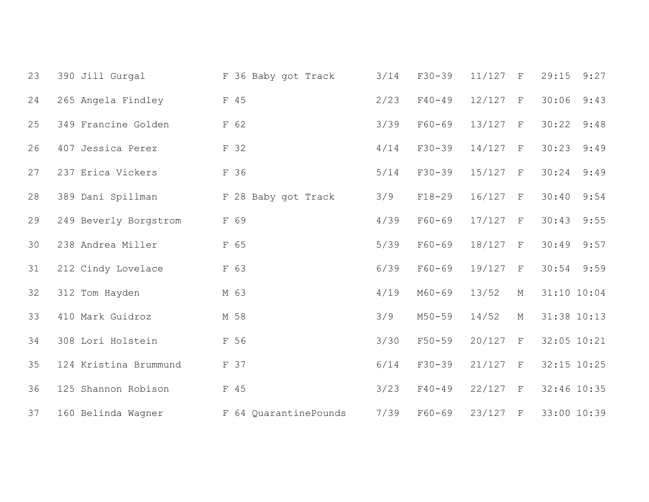| 23 | 390 Jill Gurgal       | F 36 Baby got Track   | $3/14$ | $F30 - 39$ | 11/127     | $\;$ F       | 29:15<br>9:27   |
|----|-----------------------|-----------------------|--------|------------|------------|--------------|-----------------|
| 24 | 265 Angela Findley    | F 45                  | 2/23   | $F40 - 49$ | $12/127$ F |              | 30:06<br>9:43   |
| 25 | 349 Francine Golden   | F 62                  | 3/39   | $F60 - 69$ | 13/127     | F            | 30:22<br>9:48   |
| 26 | 407 Jessica Perez     | F 32                  | 4/14   | $F30 - 39$ | 14/127     | $\;$ F       | 30:23<br>9:49   |
| 27 | 237 Erica Vickers     | F 36                  | $5/14$ | $F30 - 39$ | 15/127     | $\;$ F       | 30:24<br>9:49   |
| 28 | 389 Dani Spillman     | F 28 Baby got Track   | 3/9    | $F18 - 29$ | 16/127     | $\mathbf{F}$ | 30:40<br>9:54   |
| 29 | 249 Beverly Borgstrom | F 69                  | 4/39   | $F60 - 69$ | 17/127     | F            | 30:43<br>9:55   |
| 30 | 238 Andrea Miller     | F 65                  | 5/39   | $F60 - 69$ | 18/127     | $\;$ F       | 9:57<br>30:49   |
| 31 | 212 Cindy Lovelace    | F 63                  | 6/39   | $F60 - 69$ | 19/127     | $\;$ F       | 30:54<br>9:59   |
| 32 | 312 Tom Hayden        | M 63                  | 4/19   | $M60 - 69$ | 13/52      | М            | 31:10 10:04     |
| 33 | 410 Mark Guidroz      | M 58                  | 3/9    | $M50 - 59$ | 14/52      | $\mathbf M$  | 31:38 10:13     |
| 34 | 308 Lori Holstein     | F 56                  | 3/30   | $F50 - 59$ | 20/127     | $\;$ F       | 32:05 10:21     |
| 35 | 124 Kristina Brummund | F 37                  | 6/14   | $F30 - 39$ | 21/127     | $\mathbf{F}$ | $32:15$ $10:25$ |
| 36 | 125 Shannon Robison   | F 45                  | 3/23   | $F40 - 49$ | 22/127     | F            | 32:46 10:35     |
| 37 | 160 Belinda Wagner    | F 64 QuarantinePounds | 7/39   | $F60 - 69$ | 23/127     | $\mathbf F$  | 33:00 10:39     |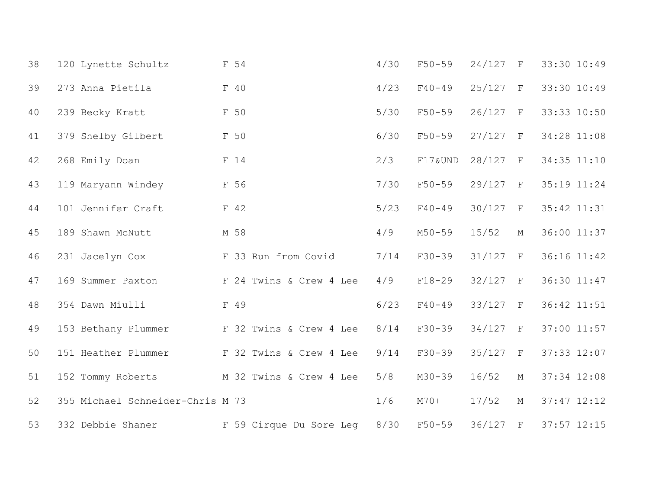| 38 | 120 Lynette Schultz              | F 54                    | 4/30 | $F50 - 59$ | 24/127     | F            | 33:30 10:49     |  |
|----|----------------------------------|-------------------------|------|------------|------------|--------------|-----------------|--|
| 39 | 273 Anna Pietila                 | F 40                    | 4/23 | $F40 - 49$ | $25/127$ F |              | 33:30 10:49     |  |
| 40 | 239 Becky Kratt                  | F 50                    | 5/30 | $F50 - 59$ | $26/127$ F |              | 33:33 10:50     |  |
| 41 | 379 Shelby Gilbert               | F 50                    | 6/30 | $F50 - 59$ | $27/127$ F |              | 34:28 11:08     |  |
| 42 | 268 Emily Doan                   | F 14                    | 2/3  | F17&UND    | $28/127$ F |              | 34:35 11:10     |  |
| 43 | 119 Maryann Windey               | F 56                    | 7/30 | $F50 - 59$ | $29/127$ F |              | 35:19 11:24     |  |
| 44 | 101 Jennifer Craft               | F 42                    | 5/23 | $F40 - 49$ | 30/127     | F            | 35:42 11:31     |  |
| 45 | 189 Shawn McNutt                 | M 58                    | 4/9  | $M50 - 59$ | 15/52      | $M_{\odot}$  | 36:00 11:37     |  |
| 46 | 231 Jacelyn Cox                  | F 33 Run from Covid     | 7/14 | $F30 - 39$ | $31/127$ F |              | $36:16$ $11:42$ |  |
| 47 | 169 Summer Paxton                | F 24 Twins & Crew 4 Lee | 4/9  | $F18 - 29$ | $32/127$ F |              | 36:30 11:47     |  |
| 48 | 354 Dawn Miulli                  | F 49                    | 6/23 | $F40 - 49$ | $33/127$ F |              | 36:42 11:51     |  |
| 49 | 153 Bethany Plummer              | F 32 Twins & Crew 4 Lee | 8/14 | $F30 - 39$ | $34/127$ F |              | 37:00 11:57     |  |
| 50 | 151 Heather Plummer              | F 32 Twins & Crew 4 Lee | 9/14 | $F30 - 39$ | 35/127     | F            | 37:33 12:07     |  |
| 51 | 152 Tommy Roberts                | M 32 Twins & Crew 4 Lee | 5/8  | $M30 - 39$ | 16/52      | $\mathbf M$  | 37:34 12:08     |  |
| 52 | 355 Michael Schneider-Chris M 73 |                         | 1/6  | $M70+$     | 17/52      | $\mathbf{M}$ | $37:47$ $12:12$ |  |
| 53 | 332 Debbie Shaner                | F 59 Cirque Du Sore Leq | 8/30 | $F50 - 59$ | 36/127     | $\;$ F       | $37:57$ $12:15$ |  |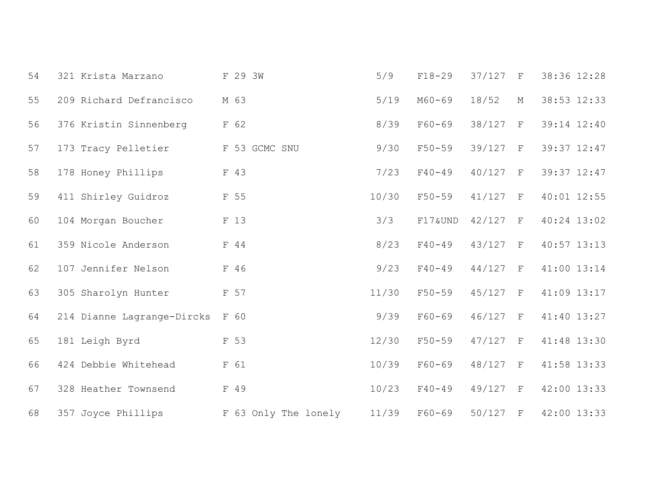| 54 | 321 Krista Marzano         | F 29 3W              | 5/9   | $F18 - 29$ | 37/127     | $\mathbf{F}$ | 38:36 12:28   |
|----|----------------------------|----------------------|-------|------------|------------|--------------|---------------|
| 55 | 209 Richard Defrancisco    | M 63                 | 5/19  | $M60 - 69$ | 18/52      | $M_{\odot}$  | 38:53 12:33   |
| 56 | 376 Kristin Sinnenberg     | F 62                 | 8/39  | $F60 - 69$ | 38/127     | $\;$ F       | 39:14 12:40   |
| 57 | 173 Tracy Pelletier        | F 53 GCMC SNU        | 9/30  | $F50 - 59$ | 39/127     | F            | 39:37 12:47   |
| 58 | 178 Honey Phillips         | F 43                 | 7/23  | $F40 - 49$ | $40/127$ F |              | 39:37 12:47   |
| 59 | 411 Shirley Guidroz        | F 55                 | 10/30 | $F50 - 59$ | $41/127$ F |              | 40:01 12:55   |
| 60 | 104 Morgan Boucher         | F 13                 | 3/3   | F17&UND    | 42/127     | F            | 40:24 13:02   |
| 61 | 359 Nicole Anderson        | F 44                 | 8/23  | $F40 - 49$ | $43/127$ F |              | $40:57$ 13:13 |
| 62 | 107 Jennifer Nelson        | F 46                 | 9/23  | $F40 - 49$ | $44/127$ F |              | 41:00 13:14   |
| 63 | 305 Sharolyn Hunter        | F 57                 | 11/30 | $F50 - 59$ | $45/127$ F |              | 41:09 13:17   |
| 64 | 214 Dianne Lagrange-Dircks | F 60                 | 9/39  | $F60 - 69$ | $46/127$ F |              | 41:40 13:27   |
| 65 | 181 Leigh Byrd             | F 53                 | 12/30 | $F50 - 59$ | $47/127$ F |              | 41:48 13:30   |
| 66 | 424 Debbie Whitehead       | F 61                 | 10/39 | $F60 - 69$ | 48/127 F   |              | 41:58 13:33   |
| 67 | 328 Heather Townsend       | F 49                 | 10/23 | $F40 - 49$ | 49/127     | $\mathbf{F}$ | 42:00 13:33   |
| 68 | 357 Joyce Phillips         | F 63 Only The lonely | 11/39 | $F60 - 69$ | 50/127     | $\;$ F       | 42:00 13:33   |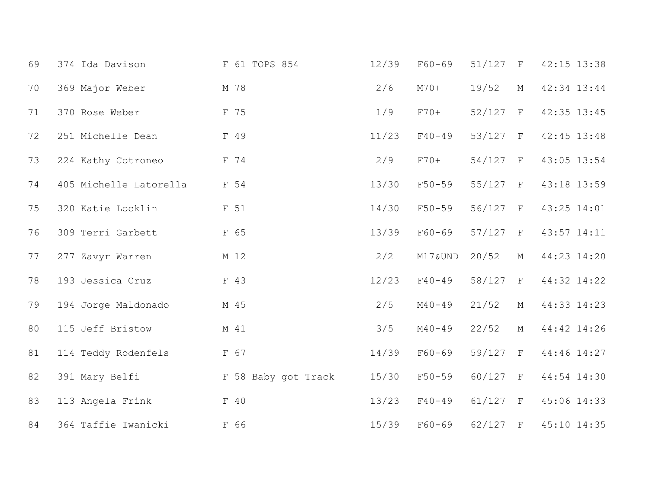| 69 | 374 Ida Davison        | F 61 TOPS 854       | 12/39 | $F60 - 69$ | $51/127$ F |              | 42:15 13:38   |
|----|------------------------|---------------------|-------|------------|------------|--------------|---------------|
| 70 | 369 Major Weber        | M 78                | 2/6   | $M70+$     | 19/52      | $\mathbf M$  | 42:34 13:44   |
| 71 | 370 Rose Weber         | F 75                | 1/9   | $F70+$     | 52/127     | $\;$ F       | $42:35$ 13:45 |
| 72 | 251 Michelle Dean      | F 49                | 11/23 | $F40 - 49$ | 53/127 F   |              | 42:45 13:48   |
| 73 | 224 Kathy Cotroneo     | F 74                | 2/9   | $F70+$     | 54/127 F   |              | 43:05 13:54   |
| 74 | 405 Michelle Latorella | F 54                | 13/30 | $F50 - 59$ | $55/127$ F |              | 43:18 13:59   |
| 75 | 320 Katie Locklin      | F 51                | 14/30 | $F50 - 59$ | 56/127 F   |              | 43:25 14:01   |
| 76 | 309 Terri Garbett      | F 65                | 13/39 | $F60 - 69$ | $57/127$ F |              | 43:57 14:11   |
| 77 | 277 Zavyr Warren       | M 12                | 2/2   | M17&UND    | 20/52      | $\mathbf M$  | 44:23 14:20   |
| 78 | 193 Jessica Cruz       | F 43                | 12/23 | $F40 - 49$ | 58/127     | $\mathbf{F}$ | 44:32 14:22   |
| 79 | 194 Jorge Maldonado    | M 45                | 2/5   | $M40 - 49$ | 21/52      | М            | 44:33 14:23   |
| 80 | 115 Jeff Bristow       | M 41                | 3/5   | $M40 - 49$ | 22/52      | М            | 44:42 14:26   |
| 81 | 114 Teddy Rodenfels    | F 67                | 14/39 | $F60 - 69$ | 59/127     | $\mathbf F$  | 44:46 14:27   |
| 82 | 391 Mary Belfi         | F 58 Baby got Track | 15/30 | $F50 - 59$ | 60/127 F   |              | 44:54 14:30   |
| 83 | 113 Angela Frink       | F 40                | 13/23 | $F40 - 49$ | 61/127 F   |              | 45:06 14:33   |
| 84 | 364 Taffie Iwanicki    | F 66                | 15/39 | $F60 - 69$ | 62/127     | $\;$ F       | 45:10 14:35   |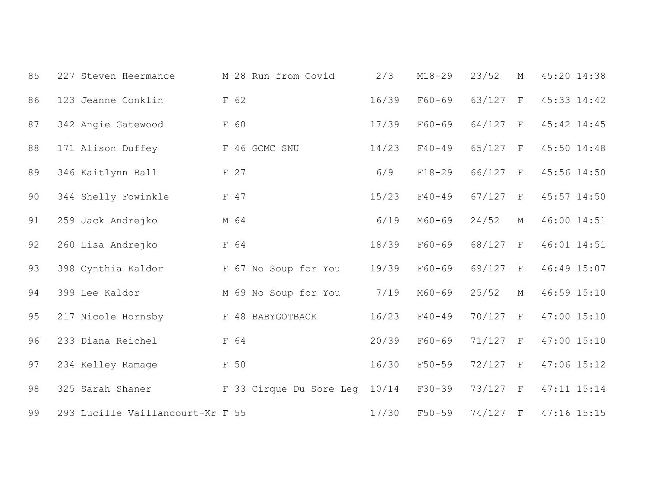| 85 | 227 Steven Heermance             | M 28 Run from Covid     | 2/3   | $M18 - 29$ | 23/52      | М            | 45:20 14:38 |
|----|----------------------------------|-------------------------|-------|------------|------------|--------------|-------------|
| 86 | 123 Jeanne Conklin               | F 62                    | 16/39 | $F60 - 69$ | 63/127 F   |              | 45:33 14:42 |
| 87 | 342 Angie Gatewood               | F 60                    | 17/39 | $F60 - 69$ | 64/127 F   |              | 45:42 14:45 |
| 88 | 171 Alison Duffey                | F 46 GCMC SNU           | 14/23 | $F40 - 49$ | 65/127     | F            | 45:50 14:48 |
| 89 | 346 Kaitlynn Ball                | F 27                    | 6/9   | $F18 - 29$ | 66/127     | F            | 45:56 14:50 |
| 90 | 344 Shelly Fowinkle              | F 47                    | 15/23 | $F40 - 49$ | 67/127     | F            | 45:57 14:50 |
| 91 | 259 Jack Andrejko                | M 64                    | 6/19  | M60-69     | 24/52      | $\mathbf M$  | 46:00 14:51 |
| 92 | 260 Lisa Andrejko                | F 64                    | 18/39 | $F60 - 69$ | 68/127     | $\;$ F       | 46:01 14:51 |
| 93 | 398 Cynthia Kaldor               | F 67 No Soup for You    | 19/39 | $F60 - 69$ | 69/127     | F            | 46:49 15:07 |
| 94 | 399 Lee Kaldor                   | M 69 No Soup for You    | 7/19  | $M60 - 69$ | 25/52      | $M_{\odot}$  | 46:59 15:10 |
| 95 | 217 Nicole Hornsby               | F 48 BABYGOTBACK        | 16/23 | $F40 - 49$ | 70/127     | $\mathbf{F}$ | 47:00 15:10 |
| 96 | 233 Diana Reichel                | F 64                    | 20/39 | $F60 - 69$ | $71/127$ F |              | 47:00 15:10 |
| 97 | 234 Kelley Ramage                | F 50                    | 16/30 | $F50 - 59$ | $72/127$ F |              | 47:06 15:12 |
| 98 | 325 Sarah Shaner                 | F 33 Cirque Du Sore Leg | 10/14 | $F30 - 39$ | 73/127 F   |              | 47:11 15:14 |
| 99 | 293 Lucille Vaillancourt-Kr F 55 |                         | 17/30 | $F50 - 59$ | 74/127     | $\mathbf F$  | 47:16 15:15 |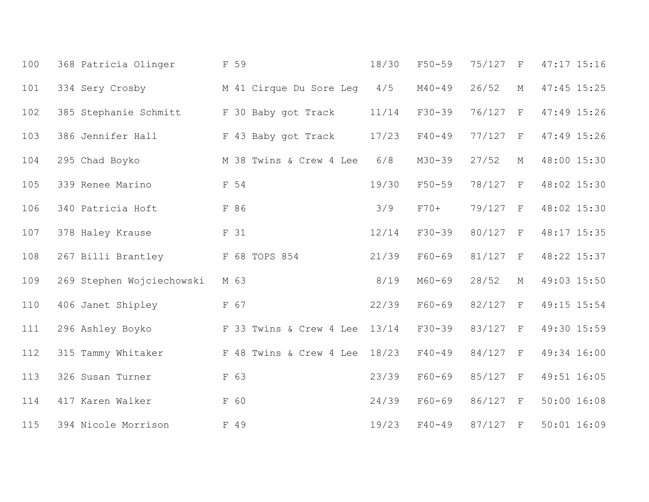| 100 | 368 Patricia Olinger      | F 59                    | 18/30 | $F50 - 59$ | 75/127   | $\mathbf{F}$ | 47:17 15:16   |
|-----|---------------------------|-------------------------|-------|------------|----------|--------------|---------------|
| 101 | 334 Sery Crosby           | M 41 Cirque Du Sore Leg | 4/5   | $M40 - 49$ | 26/52    | $\mathbf M$  | 47:45 15:25   |
| 102 | 385 Stephanie Schmitt     | F 30 Baby got Track     | 11/14 | $F30 - 39$ | 76/127   | $\;$ F       | 47:49 15:26   |
| 103 | 386 Jennifer Hall         | F 43 Baby got Track     | 17/23 | $F40 - 49$ | 77/127   | $\mathbf{F}$ | 47:49 15:26   |
| 104 | 295 Chad Boyko            | M 38 Twins & Crew 4 Lee | 6/8   | $M30 - 39$ | 27/52    | М            | 48:00 15:30   |
| 105 | 339 Renee Marino          | F 54                    | 19/30 | $F50 - 59$ | 78/127   | $\;$ F       | 48:02 15:30   |
| 106 | 340 Patricia Hoft         | F 86                    | 3/9   | $F70+$     | 79/127   | $\;$ F       | 48:02 15:30   |
| 107 | 378 Haley Krause          | F 31                    | 12/14 | $F30 - 39$ | 80/127   | $\;$ F       | 48:17 15:35   |
| 108 | 267 Billi Brantley        | F 68 TOPS 854           | 21/39 | $F60 - 69$ | 81/127   | $\;$ F       | 48:22 15:37   |
| 109 | 269 Stephen Wojciechowski | M 63                    | 8/19  | $M60 - 69$ | 28/52    | $\mathbb M$  | 49:03 15:50   |
| 110 | 406 Janet Shipley         | F 67                    | 22/39 | $F60 - 69$ | 82/127   | $\;$ F       | 49:15 15:54   |
| 111 | 296 Ashley Boyko          | F 33 Twins & Crew 4 Lee | 13/14 | $F30 - 39$ | 83/127 F |              | 49:30 15:59   |
| 112 | 315 Tammy Whitaker        | F 48 Twins & Crew 4 Lee | 18/23 | $F40 - 49$ | 84/127   | $\;$ F       | 49:34 16:00   |
| 113 | 326 Susan Turner          | F 63                    | 23/39 | $F60 - 69$ | 85/127   | F            | 49:51 16:05   |
| 114 | 417 Karen Walker          | F 60                    | 24/39 | $F60 - 69$ | 86/127   | F            | $50:00$ 16:08 |
| 115 | 394 Nicole Morrison       | F 49                    | 19/23 | $F40 - 49$ | 87/127   | $\;$ F       | $50:01$ 16:09 |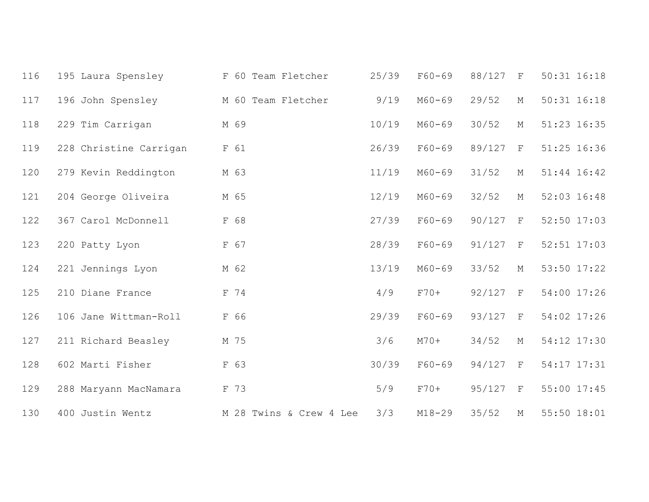| 116 | 195 Laura Spensley     | F 60 Team Fletcher      | 25/39 | $F60 - 69$ | 88/127 | $\mathbf{F}$ | $50:31$ $16:18$ |
|-----|------------------------|-------------------------|-------|------------|--------|--------------|-----------------|
| 117 | 196 John Spensley      | M 60 Team Fletcher      | 9/19  | $M60 - 69$ | 29/52  | $\mathbf M$  | $50:31$ $16:18$ |
| 118 | 229 Tim Carrigan       | M 69                    | 10/19 | $M60 - 69$ | 30/52  | $\mathbb M$  | 51:23 16:35     |
| 119 | 228 Christine Carrigan | F 61                    | 26/39 | $F60 - 69$ | 89/127 | $\mathbf F$  | 51:25 16:36     |
| 120 | 279 Kevin Reddington   | M 63                    | 11/19 | $M60 - 69$ | 31/52  | $\mathbf M$  | $51:44$ $16:42$ |
| 121 | 204 George Oliveira    | M 65                    | 12/19 | $M60 - 69$ | 32/52  | $\mathbf{M}$ | $52:03$ $16:48$ |
| 122 | 367 Carol McDonnell    | F 68                    | 27/39 | $F60 - 69$ | 90/127 | $\;$ F       | 52:50 17:03     |
| 123 | 220 Patty Lyon         | F 67                    | 28/39 | $F60 - 69$ | 91/127 | $\mathbf F$  | $52:51$ $17:03$ |
| 124 | 221 Jennings Lyon      | M 62                    | 13/19 | $M60 - 69$ | 33/52  | $\mathbf M$  | 53:50 17:22     |
| 125 | 210 Diane France       | F 74                    | 4/9   | $F70+$     | 92/127 | $\;$ F       | 54:00 17:26     |
| 126 | 106 Jane Wittman-Roll  | F 66                    | 29/39 | $F60 - 69$ | 93/127 | $\;$ F       | 54:02 17:26     |
| 127 | 211 Richard Beasley    | M 75                    | 3/6   | $M70+$     | 34/52  | $\mathbf M$  | 54:12 17:30     |
| 128 | 602 Marti Fisher       | F 63                    | 30/39 | $F60 - 69$ | 94/127 | $\;$ F       | 54:17 17:31     |
| 129 | 288 Maryann MacNamara  | F 73                    | 5/9   | $F70+$     | 95/127 | F            | 55:00 17:45     |
| 130 | 400 Justin Wentz       | M 28 Twins & Crew 4 Lee | 3/3   | $M18 - 29$ | 35/52  | М            | 55:50 18:01     |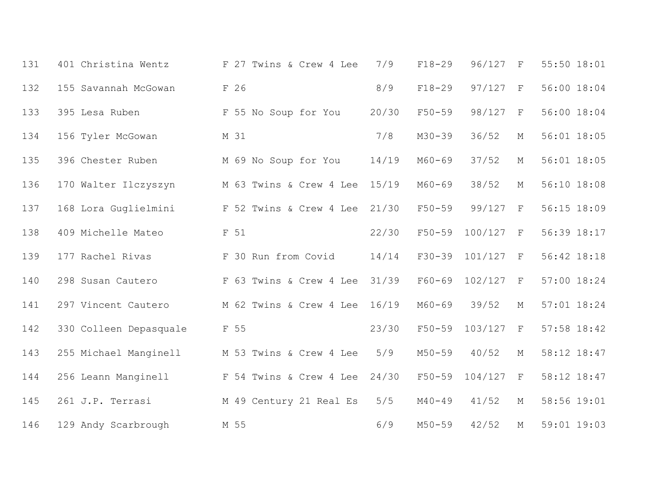| 131 | 401 Christina Wentz    | F 27 Twins & Crew 4 Lee | 7/9   | $F18 - 29$ | 96/127  | $\mathbf{F}$ | 55:50 18:01   |
|-----|------------------------|-------------------------|-------|------------|---------|--------------|---------------|
| 132 | 155 Savannah McGowan   | F 26                    | 8/9   | $F18 - 29$ | 97/127  | $\;$ F       | 56:00 18:04   |
| 133 | 395 Lesa Ruben         | F 55 No Soup for You    | 20/30 | $F50 - 59$ | 98/127  | $\mathbf F$  | 56:00 18:04   |
| 134 | 156 Tyler McGowan      | M 31                    | 7/8   | $M30 - 39$ | 36/52   | М            | 56:01 18:05   |
| 135 | 396 Chester Ruben      | M 69 No Soup for You    | 14/19 | $M60 - 69$ | 37/52   | М            | $56:01$ 18:05 |
| 136 | 170 Walter Ilczyszyn   | M 63 Twins & Crew 4 Lee | 15/19 | $M60 - 69$ | 38/52   | $\mathbf M$  | 56:10 18:08   |
| 137 | 168 Lora Guglielmini   | F 52 Twins & Crew 4 Lee | 21/30 | $F50 - 59$ | 99/127  | $\mathbf F$  | 56:15 18:09   |
| 138 | 409 Michelle Mateo     | F 51                    | 22/30 | $F50 - 59$ | 100/127 | $\mathbf F$  | 56:39 18:17   |
| 139 | 177 Rachel Rivas       | F 30 Run from Covid     | 14/14 | $F30 - 39$ | 101/127 | $\mathbf F$  | 56:42 18:18   |
| 140 | 298 Susan Cautero      | F 63 Twins & Crew 4 Lee | 31/39 | $F60 - 69$ | 102/127 | $\mathbf F$  | 57:00 18:24   |
| 141 | 297 Vincent Cautero    | M 62 Twins & Crew 4 Lee | 16/19 | $M60 - 69$ | 39/52   | М            | 57:01 18:24   |
| 142 | 330 Colleen Depasquale | F 55                    | 23/30 | $F50 - 59$ | 103/127 | $\mathbf F$  | $57:58$ 18:42 |
| 143 | 255 Michael Manginell  | M 53 Twins & Crew 4 Lee | 5/9   | $M50 - 59$ | 40/52   | $\mathbf M$  | 58:12 18:47   |
| 144 | 256 Leann Manginell    | F 54 Twins & Crew 4 Lee | 24/30 | $F50 - 59$ | 104/127 | $\mathbf F$  | 58:12 18:47   |
| 145 | 261 J.P. Terrasi       | M 49 Century 21 Real Es | 5/5   | $M40 - 49$ | 41/52   | М            | 58:56 19:01   |
| 146 | 129 Andy Scarbrough    | M 55                    | 6/9   | $M50 - 59$ | 42/52   | $M_{\odot}$  | 59:01 19:03   |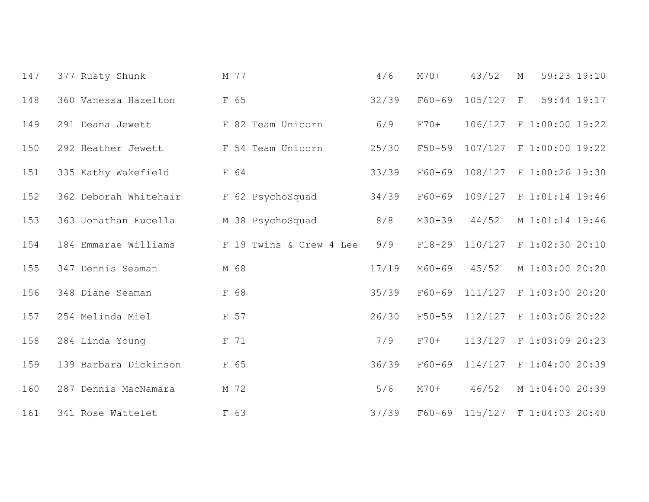| 147 | 377 Rusty Shunk       | M 77                    | 4/6   | $M70+$     | 43/52   | $\mathbf M$ | 59:23 19:10     |  |
|-----|-----------------------|-------------------------|-------|------------|---------|-------------|-----------------|--|
| 148 | 360 Vanessa Hazelton  | F 65                    | 32/39 | $F60 - 69$ | 105/127 | $\mathbf F$ | 59:44 19:17     |  |
| 149 | 291 Deana Jewett      | F 82 Team Unicorn       | 6/9   | $F70+$     | 106/127 |             | F 1:00:00 19:22 |  |
| 150 | 292 Heather Jewett    | F 54 Team Unicorn       | 25/30 | $F50 - 59$ | 107/127 |             | F 1:00:00 19:22 |  |
| 151 | 335 Kathy Wakefield   | F 64                    | 33/39 | $F60 - 69$ | 108/127 |             | F 1:00:26 19:30 |  |
| 152 | 362 Deborah Whitehair | F 62 PsychoSquad        | 34/39 | $F60 - 69$ | 109/127 |             | F 1:01:14 19:46 |  |
| 153 | 363 Jonathan Fucella  | M 38 PsychoSquad        | 8/8   | $M30 - 39$ | 44/52   |             | M 1:01:14 19:46 |  |
| 154 | 184 Emmarae Williams  | F 19 Twins & Crew 4 Lee | 9/9   | $F18 - 29$ | 110/127 |             | F 1:02:30 20:10 |  |
| 155 | 347 Dennis Seaman     | M 68                    | 17/19 | $M60 - 69$ | 45/52   |             | M 1:03:00 20:20 |  |
| 156 | 348 Diane Seaman      | F 68                    | 35/39 | $F60 - 69$ | 111/127 |             | F 1:03:00 20:20 |  |
| 157 | 254 Melinda Miel      | F 57                    | 26/30 | $F50 - 59$ | 112/127 |             | F 1:03:06 20:22 |  |
| 158 | 284 Linda Young       | F 71                    | 7/9   | $F70+$     | 113/127 |             | F 1:03:09 20:23 |  |
| 159 | 139 Barbara Dickinson | F 65                    | 36/39 | $F60 - 69$ | 114/127 |             | F 1:04:00 20:39 |  |
| 160 | 287 Dennis MacNamara  | M 72                    | 5/6   | $M70+$     | 46/52   |             | M 1:04:00 20:39 |  |
| 161 | 341 Rose Wattelet     | F 63                    | 37/39 | $F60 - 69$ | 115/127 |             | F 1:04:03 20:40 |  |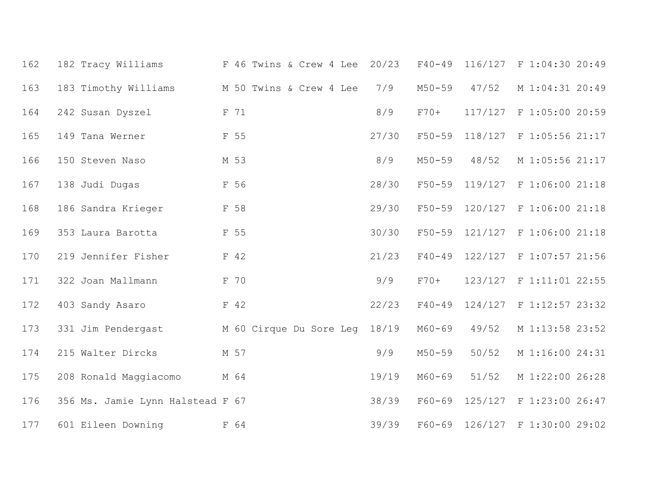| 162 | 182 Tracy Williams               | F 46 Twins & Crew 4 Lee       | 20/23 |            | F40-49 116/127 | F 1:04:30 20:49 |
|-----|----------------------------------|-------------------------------|-------|------------|----------------|-----------------|
| 163 | 183 Timothy Williams             | M 50 Twins & Crew 4 Lee       | 7/9   | $M50 - 59$ | 47/52          | M 1:04:31 20:49 |
| 164 | 242 Susan Dyszel                 | F 71                          | 8/9   | $F70+$     | 117/127        | F 1:05:00 20:59 |
| 165 | 149 Tana Werner                  | F 55                          | 27/30 |            | F50-59 118/127 | F 1:05:56 21:17 |
| 166 | 150 Steven Naso                  | M 53                          | 8/9   | $M50 - 59$ | 48/52          | M 1:05:56 21:17 |
| 167 | 138 Judi Dugas                   | F 56                          | 28/30 | $F50 - 59$ | 119/127        | F 1:06:00 21:18 |
| 168 | 186 Sandra Krieger               | F 58                          | 29/30 | $F50 - 59$ | 120/127        | F 1:06:00 21:18 |
| 169 | 353 Laura Barotta                | F 55                          | 30/30 | $F50 - 59$ | 121/127        | F 1:06:00 21:18 |
| 170 | 219 Jennifer Fisher              | F 42                          | 21/23 | $F40 - 49$ | 122/127        | F 1:07:57 21:56 |
| 171 | 322 Joan Mallmann                | F 70                          | 9/9   | $F70+$     | 123/127        | F 1:11:01 22:55 |
| 172 | 403 Sandy Asaro                  | F 42                          | 22/23 |            | F40-49 124/127 | F 1:12:57 23:32 |
| 173 | 331 Jim Pendergast               | M 60 Cirque Du Sore Leg 18/19 |       | M60-69     | 49/52          | M 1:13:58 23:52 |
| 174 | 215 Walter Dircks                | M 57                          | 9/9   | $M50 - 59$ | 50/52          | M 1:16:00 24:31 |
| 175 | 208 Ronald Maggiacomo            | M 64                          | 19/19 | M60-69     | 51/52          | M 1:22:00 26:28 |
| 176 | 356 Ms. Jamie Lynn Halstead F 67 |                               | 38/39 | $F60 - 69$ | 125/127        | F 1:23:00 26:47 |
| 177 | 601 Eileen Downing               | F 64                          | 39/39 |            | F60-69 126/127 | F 1:30:00 29:02 |